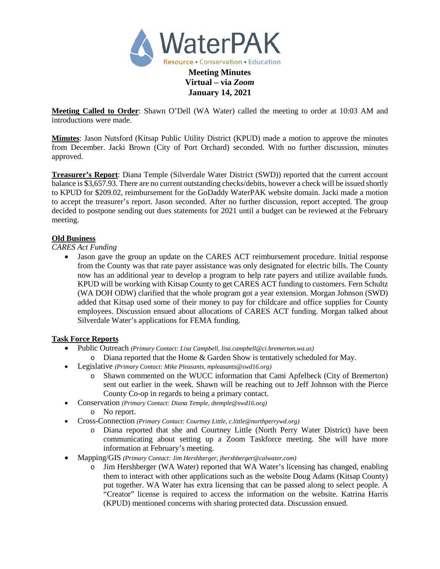

**Meeting Called to Order**: Shawn O'Dell (WA Water) called the meeting to order at 10:03 AM and introductions were made.

**January 14, 2021**

**Minutes**: Jason Nutsford (Kitsap Public Utility District (KPUD) made a motion to approve the minutes from December. Jacki Brown (City of Port Orchard) seconded. With no further discussion, minutes approved.

**Treasurer's Report**: Diana Temple (Silverdale Water District (SWD)) reported that the current account balance is \$3,657.93. There are no current outstanding checks/debits, however a check will be issued shortly to KPUD for \$209.02, reimbursement for the GoDaddy WaterPAK website domain. Jacki made a motion to accept the treasurer's report. Jason seconded. After no further discussion, report accepted. The group decided to postpone sending out dues statements for 2021 until a budget can be reviewed at the February meeting.

### **Old Business**

*CARES Act Funding*

• Jason gave the group an update on the CARES ACT reimbursement procedure. Initial response from the County was that rate payer assistance was only designated for electric bills. The County now has an additional year to develop a program to help rate payers and utilize available funds. KPUD will be working with Kitsap County to get CARES ACT funding to customers. Fern Schultz (WA DOH ODW) clarified that the whole program got a year extension. Morgan Johnson (SWD) added that Kitsap used some of their money to pay for childcare and office supplies for County employees. Discussion ensued about allocations of CARES ACT funding. Morgan talked about Silverdale Water's applications for FEMA funding.

# **Task Force Reports**

- Public Outreach *(Primary Contact: Lisa Campbell, [lisa.campbell@ci.bremerton.wa.us\)](mailto:lisa.campbell@ci.bremerton.wa.us)*
	- o Diana reported that the Home & Garden Show is tentatively scheduled for May.
- Legislative *(Primary Contact: Mike Pleasants[, mpleasants@swd16.org\)](mailto:mpleasants@swd16.org)*
	- o Shawn commented on the WUCC information that Cami Apfelbeck (City of Bremerton) sent out earlier in the week. Shawn will be reaching out to Jeff Johnson with the Pierce County Co-op in regards to being a primary contact.
- Conservation *(Primary Contact: Diana Temple, [dtemple@swd16.org\)](mailto:dtemple@swd16.org)*
	- o No report.
- Cross-Connection *(Primary Contact: Courtney Little[, c.little@northperrywd.org\)](mailto:c.little@northperrywd.org)*
	- o Diana reported that she and Courtney Little (North Perry Water District) have been communicating about setting up a Zoom Taskforce meeting. She will have more information at February's meeting.
- Mapping/GIS *(Primary Contact: Jim Hershberger, jhershberger@calwater.com)*
	- o Jim Hershberger (WA Water) reported that WA Water's licensing has changed, enabling them to interact with other applications such as the website Doug Adams (Kitsap County) put together. WA Water has extra licensing that can be passed along to select people. A "Creator" license is required to access the information on the website. Katrina Harris (KPUD) mentioned concerns with sharing protected data. Discussion ensued.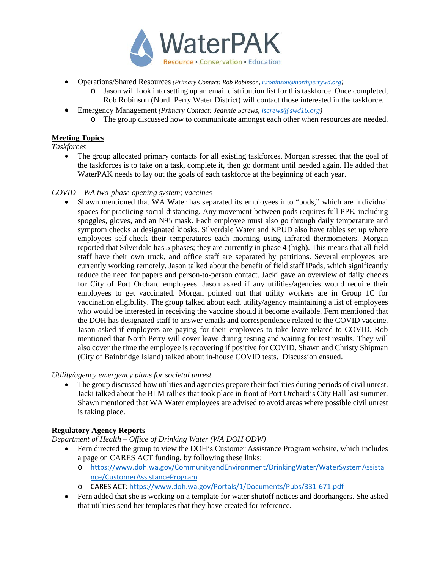

- Operations/Shared Resources *(Primary Contact: Rob Robinson[, r.robinson@northperrywd.org\)](mailto:r.robinson@northperrywd.org)*
	- o Jason will look into setting up an email distribution list for this taskforce. Once completed, Rob Robinson (North Perry Water District) will contact those interested in the taskforce.
- Emergency Management *(Primary Contact: Jeannie Screws, [jscrews@swd16.org\)](mailto:jscrews@swd16.org)*
	- o The group discussed how to communicate amongst each other when resources are needed.

# **Meeting Topics**

*Taskforces*

The group allocated primary contacts for all existing taskforces. Morgan stressed that the goal of the taskforces is to take on a task, complete it, then go dormant until needed again. He added that WaterPAK needs to lay out the goals of each taskforce at the beginning of each year.

#### *COVID – WA two-phase opening system; vaccines*

• Shawn mentioned that WA Water has separated its employees into "pods," which are individual spaces for practicing social distancing. Any movement between pods requires full PPE, including spoggles, gloves, and an N95 mask. Each employee must also go through daily temperature and symptom checks at designated kiosks. Silverdale Water and KPUD also have tables set up where employees self-check their temperatures each morning using infrared thermometers. Morgan reported that Silverdale has 5 phases; they are currently in phase 4 (high). This means that all field staff have their own truck, and office staff are separated by partitions. Several employees are currently working remotely. Jason talked about the benefit of field staff iPads, which significantly reduce the need for papers and person-to-person contact. Jacki gave an overview of daily checks for City of Port Orchard employees. Jason asked if any utilities/agencies would require their employees to get vaccinated. Morgan pointed out that utility workers are in Group 1C for vaccination eligibility. The group talked about each utility/agency maintaining a list of employees who would be interested in receiving the vaccine should it become available. Fern mentioned that the DOH has designated staff to answer emails and correspondence related to the COVID vaccine. Jason asked if employers are paying for their employees to take leave related to COVID. Rob mentioned that North Perry will cover leave during testing and waiting for test results. They will also cover the time the employee is recovering if positive for COVID. Shawn and Christy Shipman (City of Bainbridge Island) talked about in-house COVID tests. Discussion ensued.

### *Utility/agency emergency plans for societal unrest*

• The group discussed how utilities and agencies prepare their facilities during periods of civil unrest. Jacki talked about the BLM rallies that took place in front of Port Orchard's City Hall last summer. Shawn mentioned that WA Water employees are advised to avoid areas where possible civil unrest is taking place.

### **Regulatory Agency Reports**

*Department of Health – Office of Drinking Water (WA DOH ODW)*

- Fern directed the group to view the DOH's Customer Assistance Program website, which includes a page on CARES ACT funding, by following these links:
	- o [https://www.doh.wa.gov/CommunityandEnvironment/DrinkingWater/WaterSystemAssista](https://www.doh.wa.gov/CommunityandEnvironment/DrinkingWater/WaterSystemAssistance/CustomerAssistanceProgram) [nce/CustomerAssistanceProgram](https://www.doh.wa.gov/CommunityandEnvironment/DrinkingWater/WaterSystemAssistance/CustomerAssistanceProgram)
	- o CARES ACT:<https://www.doh.wa.gov/Portals/1/Documents/Pubs/331-671.pdf>
- Fern added that she is working on a template for water shutoff notices and doorhangers. She asked that utilities send her templates that they have created for reference.